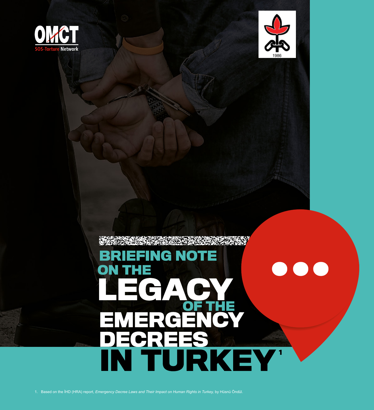



# **BRIEFING NOTE**  $\bullet\bullet\bullet$ ON **THE**  $=\mathbf{c}$ **EMERGEN** DEGREES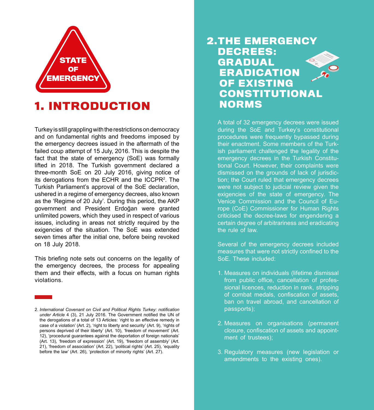

# **1. INTRODUCTION**

Turkey is still grappling with the restrictions on democracy and on fundamental rights and freedoms imposed by the emergency decrees issued in the aftermath of the failed coup attempt of 15 July, 2016. This is despite the fact that the state of emergency (SoE) was formally lifted in 2018. The Turkish government declared a three-month SoE on 20 July 2016, giving notice of its derogations from the ECHR and the ICCPR<sup>2</sup>. The Turkish Parliament's approval of the SoE declaration. ushered in a regime of emergency decrees, also known as the 'Regime of 20 July'. During this period, the AKP government and President Erdoğan were granted unlimited powers, which they used in respect of various issues, including in areas not strictly required by the exigencies of the situation. The SoE was extended seven times after the initial one, before being revoked on 18 July 2018.

This briefing note sets out concerns on the legality of the emergency decrees, the process for appealing them and their effects, with a focus on human rights .violations

### **2.THE EMERGENCY :DECREES GRADUAL ERADICATION OF EXISTING CONSTITUTIONAL NORMS**

A total of 32 emergency decrees were issued during the SoE and Turkey's constitutional procedures were frequently bypassed during ish parliament challenged the legality of the their enactment. Some members of the Turktional Court. However, their complaints were emergency decrees in the Turkish Constitution; the Court ruled that emergency decrees dismissed on the grounds of lack of jurisdicwere not subject to judicial review given the exigencies of the state of emergency. The rope (CoE) Commissioner for Human Rights Venice Commission and the Council of Eucriticised the decree-laws for engendering a certain degree of arbitrariness and eradicating the rule of law.

Several of the emergency decrees included measures that were not strictly confined to the SoE. These included:

- 1. Measures on individuals (lifetime dismissal sional licences, reduction in rank, stripping from public office, cancellation of profesof combat medals, confiscation of assets, ban on travel abroad, and cancellation of passports);
- 2. Measures on organisations (permanent closure, confiscation of assets and appoint-<br>ment\_of\_trustees);
- 3. Regulatory measures (new legislation or amendments to the existing ones).

<sup>2.</sup> International Covenant on Civil and Political Rights Turkey: notification under Article 4 (3), 21 July 2016. The Government notified the UN of the derogations of a total of 13 Articles: 'right to an effective remedy in case of a violation' (Art. 2), 'right to liberty and security' (Art. 9), 'rights of persons deprived of their liberty' (Art. 10), 'freedom of movement' (Art. 12), 'procedural quarantees against the deportation of foreign nationals' (Art. 13). 'freedom of expression' (Art. 19). 'freedom of assembly' (Art. 21), 'freedom of association' (Art. 22), 'political rights' (Art. 25), 'equality before the law' (Art. 26), 'protection of minority rights' (Art. 27).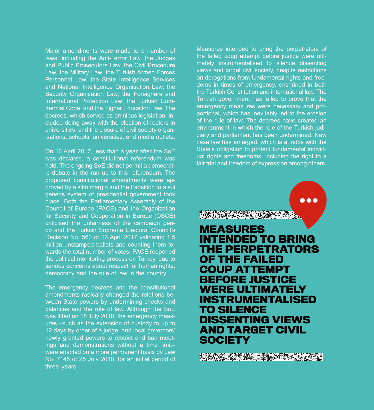Major amendments were made to a number of laws, including the Anti-Terror Law, the Judges and Public Prosecutors Law, the Civil Procedure Law, the Military Law, the Turkish Armed Forces Personnel Law, the State Intelligence Services and National Intelligence Organisation Law, the Security Organisation Law, the Foreigners and mercial Code, and the Higher Education Law. The International Protection Law; the Turkish Comcluded doing away with the election of rectors in decrees, which served as omnibus legislation, inisations, schools, universities, and media outlets. universities, and the closure of civil society organ-

On 16 April 2017, less than a vear after the SoE was declared, a constitutional referendum was ic debate in the run up to this referendum. The held. The ongoing SoE did not permit a democratproved by a slim margin and the transition to a sui proposed constitutional amendments were apgeneris system of presidential government took place. Both the Parliamentary Assembly of the Council of Europe (PACE) and the Organization for Security and Cooperation in Europe (OSCE) od and the Turkish Supreme Electoral Council's criticised the unfairness of the campaign peri-Decision No. 560 of 16 April 2017 validating 1.5 wards the total number of votes. PACE reopened million unstamped ballots and counting them tothe political monitoring process on Turkey, due to serious concerns about respect for human rights. democracy and the rule of law in the country.

The emergency decrees and the constitutional amendments radically changed the relations be-<br>tween State powers by undermining checks and balances and the rule of law. Although the SoE was lifted on 18 July 2018, the emergency meas-<br>ures –such as the extension of custody to up to 12 days by order of a judge, and local governors' ings and demonstrations without a time limitnewly granted powers to restrict and ban meetwere enacted on a more permanent basis by Law No. 7145 of 25 July 2018, for an initial period of three years.

Measures intended to bring the perpetrators of mately instrumentalised to silence dissenting the failed coup attempt before justice were ultiviews and target civil society, despite restrictions doms in times of emergency, enshrined in both on derogations from fundamental rights and freethe Turkish Constitution and international law. The Turkish government has failed to prove that the portional, which has inevitably led to the erosion emergency measures were necessary and proof the rule of law. The decrees have created an ciary and parliament has been undermined. New environment in which the role of the Turkish judicase law has emerged, which is at odds with the ual rights and freedoms, including the right to a State's obligation to protect fundamental individfair trial and freedom of expression among others.

 $\bullet$   $\bullet$ 

 **MEASURES INTENDED TO BRING THE PERPETRATORS** *OF THE FAILED* **COUP ATTEMPT BEFORE JUSTICE WERE ULTIMATELY INSTRUMENTALISED TO SILENCE DISSENTING VIEWS AND TARGET CIVIL SOCIETY**

**TAS AN ALAMANY**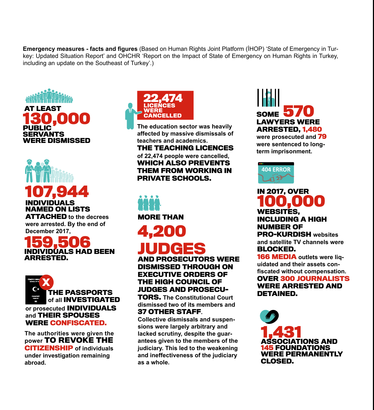key: Updated Situation Report' and OHCHR 'Report on the Impact of State of Emergency on Human Rights in Turkey. **Emergency measures - facts and figures** (Based on Human Rights Joint Platform (IHOP) 'State of Emergency in Turincluding an update on the Southeast of Turkey'.)



# **INDIVIDUALS NAMED ON LISTS 17,94**

**ATTACHED** to the decrees were arrested. By the end of December 2017,

# **INDIVIDUALS HAD BEEN .ARRESTED**



**The authorities were given the** *power* TO REVOKE THE **CITIZENSHIP** of *individuals* **under investigation remaining .abroad**



**The education sector was heavily** affected by massive dismissals of teachers and academics. **THE TEACHING LICENCES** of 22,474 people were cancelled.

**WHICH ALSO PREVENTS THEM FROM WORKING IN PRIVATE SCHOOLS.** 



# **4,200 JUDGES**

**AND PROSECUTORS WERE DISMISSED THROUGH ON EXECUTIVE ORDERS OF THE HIGH COUNCIL OF JUDGES AND PROSECU-**

 **TORS.** The Constitutional Court dismissed two of its members and **.37 OTHER STAFF.** 

sions were largely arbitrary and **Collective dismissals and suspen**antees given to the members of the lacked scrutiny, despite the guar**iudiciary. This led to the weakening** and ineffectiveness of the judiciary  **.whole a as**

**570 SOME LAWYERS WERE 1,480 ,ARRESTED** were prosecuted and 79 were sentenced to long-<br>term imprisonment.



#### **100,000 ,WEBSITES INCLUDING A HIGH NUMBER OF PRO-KURDISH** websites **IN 2017, OVER**

and satellite **TV** channels were **.BLOCKED**

uidated and their assets con-<br>fiscated without compensation. **166 MEDIA** outlets were liq-<br>uidated and their assets con-**OVER 300 JOURNALISTS** 

### **WERE ARRESTED AND .DETAINED**

**1,431 AND ASSOCIATIONS AND 5 FOUNDATIONS WERE PERMANENTLY .CLOSED**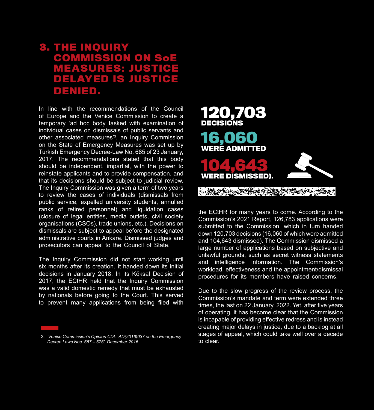### **3. THE INQUIRY COMMISSION ON SoE S: JUSTI ED IS JUSTICE .DENIED**

In line with the recommendations of the Council of Europe and the Venice Commission to create a temporary 'ad hoc body tasked with examination of individual cases on dismissals of public servants and other associated measures<sup>3</sup>, an Inquiry Commission on the State of Emergency Measures was set up by Turkish Emergency Decree-Law No. 685 of 23 January, 2017. The recommendations stated that this body should be independent, impartial, with the power to reinstate applicants and to provide compensation, and that its decisions should be subject to judicial review. The Inquiry Commission was given a term of two years to review the cases of individuals (dismissals from public service, expelled university students, annulled ranks of retired personnel) and liquidation cases (closure of legal entities, media outlets, civil society organisations (CSOs), trade unions, etc.). Decisions on dismissals are subject to appeal before the designated administrative courts in Ankara. Dismissed judges and prosecutors can appeal to the Council of State.

The Inquiry Commission did not start working until six months after its creation. It handed down its initial decisions in January 2018. In its Köksal Decision of 2017, the ECtHR held that the Inquiry Commission was a valid domestic remedy that must be exhausted by nationals before going to the Court. This served to prevent many applications from being filed with



the ECtHR for many years to come. According to the Commission's 2021 Report, 126,783 applications were submitted to the Commission, which in turn handed down 120,703 decisions (16,060 of which were admitted and 104,643 dismissed). The Commission dismissed a large number of applications based on subjective and unlawful grounds, such as secret witness statements and intelligence information. The Commission's workload, effectiveness and the appointment/dismissal procedures for its members have raised concerns.

Due to the slow progress of the review process, the Commission's mandate and term were extended three times, the last on 22 January, 2022. Yet, after five years of operating, it has become clear that the Commission is incapable of providing effective redress and is instead creating major delays in justice, due to a backlog at all stages of appeal, which could take well over a decade to clear.

<sup>3. &#</sup>x27;Venice Commission's Opinion CDL- AD (2016) 037 on the Emergency *Decree Laws Nos. 667 - 676', December 2016.*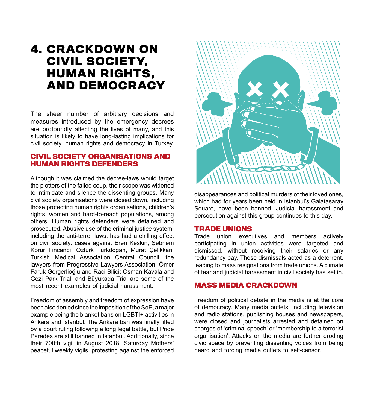# **4. CRACKDOWN ON CIVIL SOCIETY. HUMAN RIGHTS. AND DEMOCRACY**

The sheer number of arbitrary decisions and measures introduced by the emergency decrees are profoundly affecting the lives of many, and this situation is likely to have long-lasting implications for civil society, human rights and democracy in Turkey.

#### **CIVIL SOCIETY ORGANISATIONS AND HUMAN RIGHTS DEFENDERS**

Although it was claimed the decree-laws would target the plotters of the failed coup, their scope was widened to intimidate and silence the dissenting groups. Many civil society organisations were closed down, including those protecting human rights organisations, children's rights, women and hard-to-reach populations, among others. Human rights defenders were detained and prosecuted. Abusive use of the criminal justice system. including the anti-terror laws, has had a chilling effect on civil society: cases against Eren Keskin, Sebnem Korur Fincancı, Öztürk Türkdoğan, Murat Celikkan, Turkish Medical Association Central Council. the lawyers from Progressive Lawyers Association. Ömer Faruk Gergerlioğlu and Raci Bilici; Osman Kavala and Gezi Park Trial; and Büyükada Trial are some of the most recent examples of judicial harassment.

Freedom of assembly and freedom of expression have been also denied since the imposition of the SoE, a major example being the blanket bans on LGBTI+ activities in Ankara and Istanbul. The Ankara ban was finally lifted by a court ruling following a long legal battle, but Pride Parades are still banned in Istanbul. Additionally, since their 700th vigil in August 2018, Saturday Mothers' peaceful weekly vigils, protesting against the enforced



disappearances and political murders of their loved ones. which had for vears been held in Istanbul's Galatasarav Square, have been banned. Judicial harassment and persecution against this group continues to this day.

#### **TRADE UNIONS**

Trade union executives and members actively participating in union activities were targeted and dismissed, without receiving their salaries or any redundancy pay. These dismissals acted as a deterrent, leading to mass resignations from trade unions. A climate of fear and judicial harassment in civil society has set in.

#### **MASS MEDIA CRACKDOWN**

Freedom of political debate in the media is at the core of democracy. Many media outlets, including television and radio stations, publishing houses and newspapers, were closed and journalists arrested and detained on charges of 'criminal speech' or 'membership to a terrorist organisation'. Attacks on the media are further eroding civic space by preventing dissenting voices from being heard and forcing media outlets to self-censor.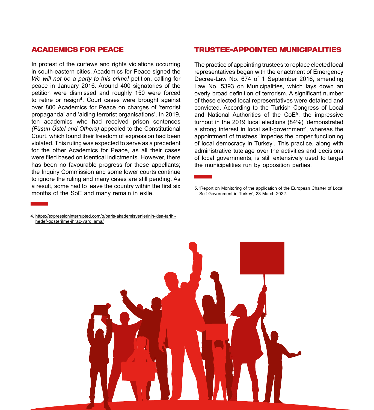#### **ACADEMICS FOR PEACE**

In protest of the curfews and rights violations occurring in south-eastern cities, Academics for Peace signed the We will not be a party to this crime! petition, calling for peace in January 2016. Around 400 signatories of the petition were dismissed and roughly 150 were forced to retire or resign<sup>4</sup>. Court cases were brought against over 800 Academics for Peace on charges of 'terrorist propaganda' and 'aiding terrorist organisations'. In 2019, ten academics who had received prison sentences (Füsun Üstel and Others) appealed to the Constitutional Court, which found their freedom of expression had been violated. This ruling was expected to serve as a precedent for the other Academics for Peace, as all their cases were filed based on identical indictments. However, there has been no favourable progress for these appellants; the Inquiry Commission and some lower courts continue to ignore the ruling and many cases are still pending. As a result, some had to leave the country within the first six months of the SoE and many remain in exile.

#### **TRUSTEE-APPOINTED MUNICIPALITIES**

The practice of appointing trustees to replace elected local representatives began with the enactment of Emergency Decree-Law No. 674 of 1 September 2016, amending Law No. 5393 on Municipalities, which lays down an overly broad definition of terrorism. A significant number of these elected local representatives were detained and convicted. According to the Turkish Congress of Local and National Authorities of the  $CoE<sup>5</sup>$ , the impressive turnout in the 2019 local elections (84%) 'demonstrated a strong interest in local self-government', whereas the appointment of trustees 'impedes the proper functioning of local democracy in Turkey'. This practice, along with administrative tutelage over the activities and decisions of local governments, is still extensively used to target the municipalities run by opposition parties.



4. https://expressioninterrupted.com/tr/baris-akademisyenlerinin-kisa-tarihi-<br>hedef-gosterilme-ihrac-yargilama/

<sup>5. &#</sup>x27;Report on Monitoring of the application of the European Charter of Local Self-Government in Turkey', 23 March 2022.